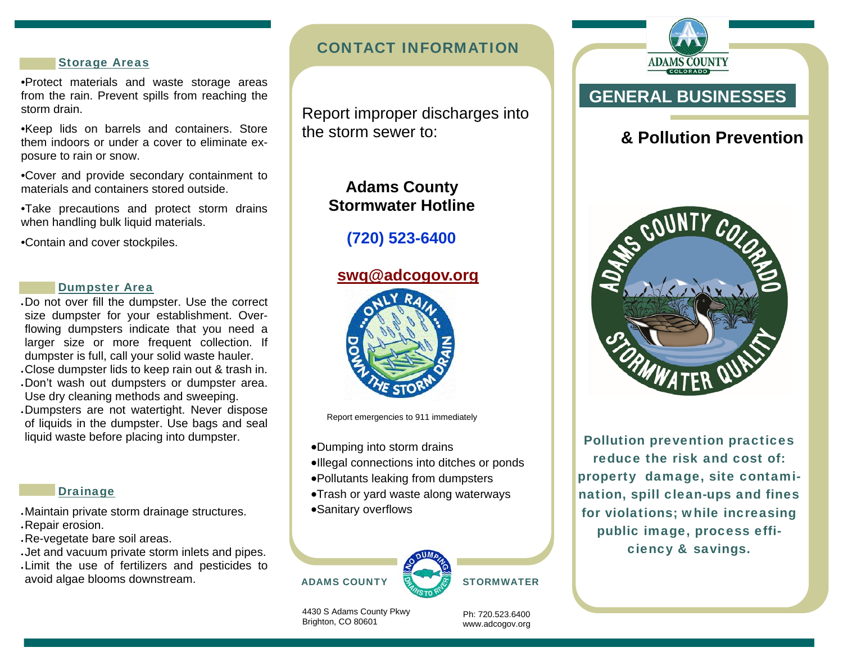### Storage Areas

•Protect materials and waste storage areas from the rain. Prevent spills from reaching the storm drain.

•Keep lids on barrels and containers. Store them indoors or under a cover to eliminate exposure to rain or snow.

•Cover and provide secondary containment to materials and containers stored outside.

•Take precautions and protect storm drains when handling bulk liquid materials.

•Contain and cover stockpiles.

### Dumpster Area

Do not over fill the dumpster. Use the correct size dumpster for your establishment. Overflowing dumpsters indicate that you need a larger size or more frequent collection. If dumpster is full, call your solid waste hauler. Close dumpster lids to keep rain out & trash in. Don't wash out dumpsters or dumpster area. Use dry cleaning methods and sweeping. Dumpsters are not watertight. Never dispose of liquids in the dumpster. Use bags and seal liquid waste before placing into dumpster.

### **Drainage**

Maintain private storm drainage structures. Repair erosion.

Re-vegetate bare soil areas.

Jet and vacuum private storm inlets and pipes. Limit the use of fertilizers and pesticides to avoid algae blooms downstream.

## CONTACT INFORMATION

 Report improper discharges into the storm sewer to:

# **Adams County Stormwater Hotline**

# **(720) 523-6400**

## **swq@adcogov.org**



Report emergencies to 911 immediately

- Dumping into storm drains
- Illegal connections into ditches or ponds
- Pollutants leaking from dumpsters
- Trash or yard waste along waterways
- Sanitary overflows





4430 S Adams County Pkwy Brighton, CO 80601

Ph: 720.523.6400 www.adcogov.org



# **& Pollution Prevention**



Pollution prevention practices reduce the risk and cost of: property damage, site contamination, spill clean-ups and fines for violations; while increasing public image, process efficiency & savings.